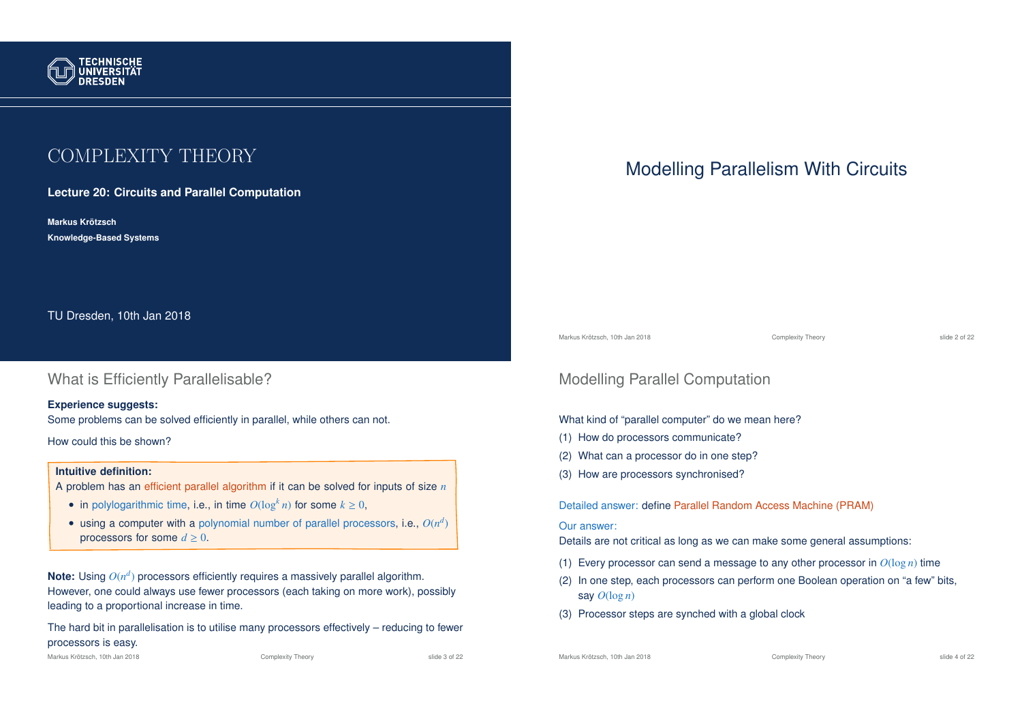

# COMPLEXITY THEORY

**Lecture 20: Circuits and Parallel Computation**

**Markus Krotzsch ¨ Knowledge-Based Systems**

TU Dresden, 10th Jan 2018

### What is Efficiently Parallelisable?

#### **Experience suggests:**

Some problems can be solved efficiently in parallel, while others can not.

How could this be shown?

#### **Intuitive definition:**

- A problem has an efficient parallel algorithm if it can be solved for inputs of size *n*
	- in polylogarithmic time, i.e., in time  $O(\log^k n)$  for some  $k \geq 0$ ,
	- $\bullet$  using a computer with a polynomial number of parallel processors, i.e.,  $O(n^d)$ processors for some  $d \geq 0$ .

Note: Using  $O(n^d)$  processors efficiently requires a massively parallel algorithm. However, one could always use fewer processors (each taking on more work), possibly leading to a proportional increase in time.

The hard bit in parallelisation is to utilise many processors effectively – reducing to fewer processors is easy.

Markus Krötzsch, 10th Jan 2018 Complexity Theory Complexity Theory Slide 3 of 22

#### Markus Krötzsch, 10th Jan 2018 Complexity Theory Complexity Theory slide 4 of 22

# Modelling Parallelism With Circuits

Markus Krötzsch, 10th Jan 2018 Complexity Theory slide 2 of 22

### Modelling Parallel Computation

#### What kind of "parallel computer" do we mean here?

- (1) How do processors communicate?
- (2) What can a processor do in one step?
- (3) How are processors synchronised?

Detailed answer: define Parallel Random Access Machine (PRAM)

#### Our answer:

Details are not critical as long as we can make some general assumptions:

- (1) Every processor can send a message to any other processor in  $O(\log n)$  time
- (2) In one step, each processors can perform one Boolean operation on "a few" bits, say  $O(\log n)$
- (3) Processor steps are synched with a global clock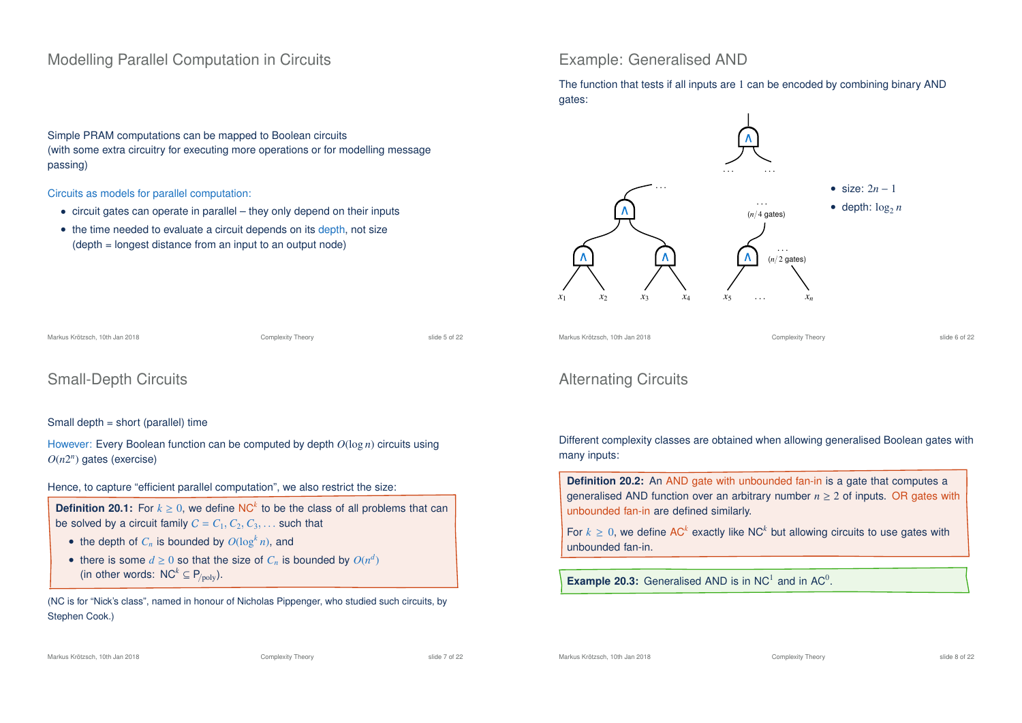### Modelling Parallel Computation in Circuits

Simple PRAM computations can be mapped to Boolean circuits (with some extra circuitry for executing more operations or for modelling message passing)

Circuits as models for parallel computation:

- circuit gates can operate in parallel they only depend on their inputs
- the time needed to evaluate a circuit depends on its depth, not size (depth = longest distance from an input to an output node)

### Example: Generalised AND

The function that tests if all inputs are 1 can be encoded by combining binary AND gates:



Markus Krötzsch, 10th Jan 2018 Complexity Theory Complexity Theory Slide 6 of 22

Small-Depth Circuits

#### Small depth = short (parallel) time

However: Every Boolean function can be computed by depth *O*(log *n*) circuits using *O*(*n*2 *n* ) gates (exercise)

Markus Krötzsch, 10th Jan 2018 Complexity Theory Complexity Theory Slide 5 of 22

Hence, to capture "efficient parallel computation", we also restrict the size:

**Definition 20.1:** For  $k \geq 0$ , we define NC<sup>k</sup> to be the class of all problems that can be solved by a circuit family  $C = C_1, C_2, C_3, \ldots$  such that

- the depth of  $C_n$  is bounded by  $O(\log^k n)$ , and
- there is some  $d \geq 0$  so that the size of  $C_n$  is bounded by  $O(n^d)$ (in other words:  $NC^k \subseteq P_{\text{poly}}$ ).

(NC is for "Nick's class", named in honour of Nicholas Pippenger, who studied such circuits, by Stephen Cook.)

### Alternating Circuits

Different complexity classes are obtained when allowing generalised Boolean gates with many inputs:

**Definition 20.2:** An AND gate with unbounded fan-in is a gate that computes a generalised AND function over an arbitrary number  $n \geq 2$  of inputs. OR gates with unbounded fan-in are defined similarly.

For  $k \geq 0$ , we define AC<sup>k</sup> exactly like NC<sup>k</sup> but allowing circuits to use gates with unbounded fan-in.

**Example 20.3:** Generalised AND is in  $NC<sup>1</sup>$  and in  $AC<sup>0</sup>$ .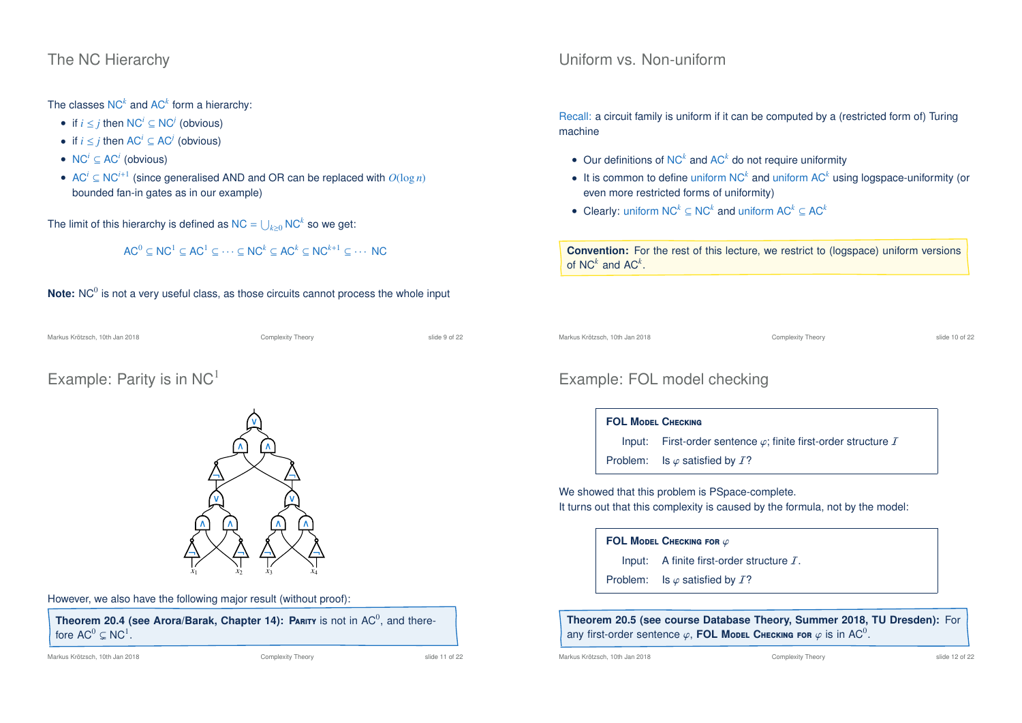### The NC Hierarchy

The classes  $NC^k$  and  $AC^k$  form a hierarchy:

- if  $i \leq j$  then  $NC^i \subseteq NC^j$  (obvious)
- if  $i \leq j$  then AC<sup>*i*</sup>  $\subseteq$  AC<sup>*j*</sup> (obvious)
- $NC^i \subseteq AC^i$  (obvious)
- AC*<sup>i</sup>* <sup>⊆</sup> NC*i*+<sup>1</sup> (since generalised AND and OR can be replaced with *O*(log *n*) bounded fan-in gates as in our example)

The limit of this hierarchy is defined as  $NC = \bigcup_{k\geq 0} NC^k$  so we get:

$$
AC^0 \subseteq NC^1 \subseteq AC^1 \subseteq \cdots \subseteq NC^k \subseteq AC^k \subseteq NC^{k+1} \subseteq \cdots NC
$$

### Note: NC<sup>0</sup> is not a very useful class, as those circuits cannot process the whole input

Markus Krötzsch, 10th Jan 2018 Complexity Theory Complexity Theory Slide 9 of 22

Example: Parity is in  $NC<sup>1</sup>$ 



However, we also have the following major result (without proof):

Theorem 20.4 (see Arora/Barak, Chapter 14): PARITY is not in AC<sup>0</sup>, and therefore  $AC^0 \subsetneq NC^1$ .

#### Markus Krötzsch, 10th Jan 2018 Complexity Theory Complexity Theory slide 11 of 22

### Uniform vs. Non-uniform

Recall: a circuit family is uniform if it can be computed by a (restricted form of) Turing machine

- Our definitions of NC*<sup>k</sup>* and AC*<sup>k</sup>* do not require uniformity
- It is common to define uniform NC<sup>k</sup> and uniform AC<sup>k</sup> using logspace-uniformity (or even more restricted forms of uniformity)
- Clearly: uniform NC*<sup>k</sup>* <sup>⊆</sup> NC*<sup>k</sup>* and uniform AC*<sup>k</sup>* <sup>⊆</sup> AC*<sup>k</sup>*

**Convention:** For the rest of this lecture, we restrict to (logspace) uniform versions of  $NC^k$  and  $AC^k$ .

Markus Krötzsch, 10th Jan 2018 Complexity Theory slide 10 of 22

## Example: FOL model checking

### **FOL M**odel **C**hecking

Input: First-order sentence  $\varphi$ ; finite first-order structure  $I$ 

Problem: Is  $\varphi$  satisfied by  $I$ ?

We showed that this problem is PSpace-complete. It turns out that this complexity is caused by the formula, not by the model:

#### **FOL MODEL CHECKING FOR**  $\varphi$

Input: A finite first-order structure  $I$ .

Problem: Is  $\varphi$  satisfied by  $I$ ?

**Theorem 20.5 (see course Database Theory, Summer 2018, TU Dresden):** For any first-order sentence  $\varphi$ , FOL Model Checking for  $\varphi$  is in AC<sup>0</sup>.

Markus Krötzsch, 10th Jan 2018 Complexity Theory Complexity Theory Slide 12 of 22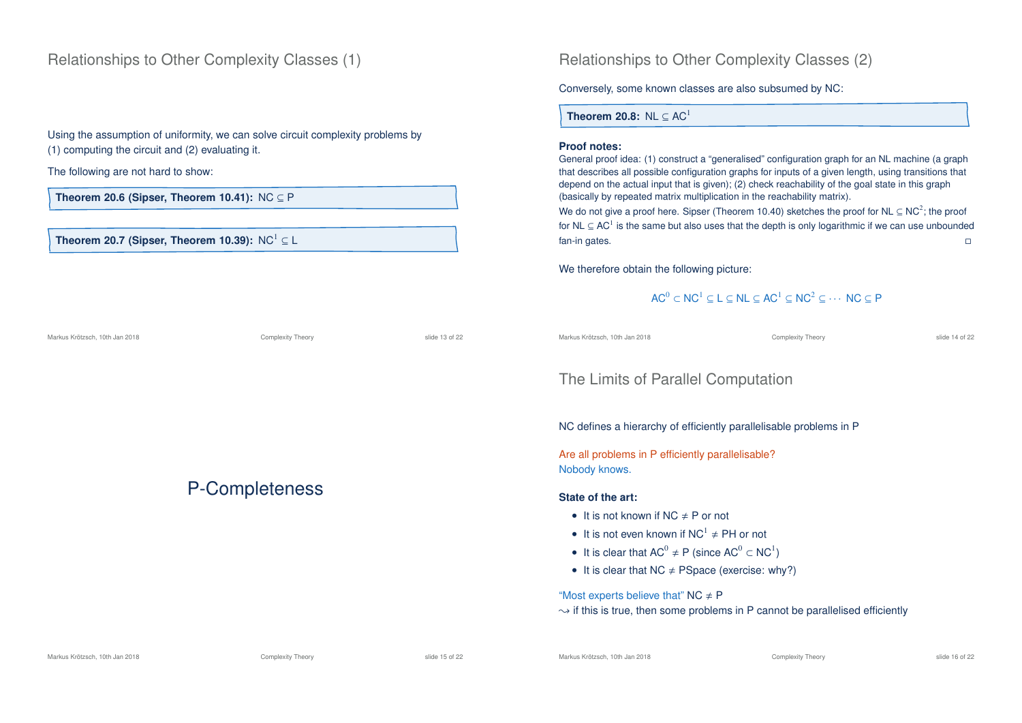### Relationships to Other Complexity Classes (1)

Using the assumption of uniformity, we can solve circuit complexity problems by (1) computing the circuit and (2) evaluating it.

Markus Krötzsch, 10th Jan 2018 Complexity Theory slide 13 of 22

P-Completeness

The following are not hard to show:

**Theorem 20.6 (Sipser, Theorem 10.41):** NC ⊆ P

#### **Theorem 20.7 (Sipser, Theorem 10.39):** NC<sup>1</sup>  $\subseteq$  L

Relationships to Other Complexity Classes (2)

Conversely, some known classes are also subsumed by NC:

**Theorem 20.8:** NL  $\subset AC<sup>1</sup>$ 

#### **Proof notes:**

General proof idea: (1) construct a "generalised" configuration graph for an NL machine (a graph that describes all possible configuration graphs for inputs of a given length, using transitions that depend on the actual input that is given); (2) check reachability of the goal state in this graph (basically by repeated matrix multiplication in the reachability matrix).

We do not give a proof here. Sipser (Theorem 10.40) sketches the proof for NL  $\subseteq$  NC<sup>2</sup>; the proof for NL  $\subseteq$  AC<sup>1</sup> is the same but also uses that the depth is only logarithmic if we can use unbounded fan-in gates.

We therefore obtain the following picture:

### $AC^0 \subset NC^1 \subset L \subset NL \subset AC^1 \subset NC^2 \subset \cdots NC \subset P$

Markus Krötzsch, 10th Jan 2018 Complexity Theory slide 14 of 22

### The Limits of Parallel Computation

NC defines a hierarchy of efficiently parallelisable problems in P

Are all problems in P efficiently parallelisable? Nobody knows.

#### **State of the art:**

- It is not known if  $NC \neq P$  or not
- It is not even known if  $NC^1 \neq PH$  or not
- It is clear that  $AC^0 \neq P$  (since  $AC^0 \subset NC^1$ )
- It is clear that  $NC \neq PSpace$  (exercise: why?)

"Most experts believe that"  $NC \neq P$ 

 $\rightarrow$  if this is true, then some problems in P cannot be parallelised efficiently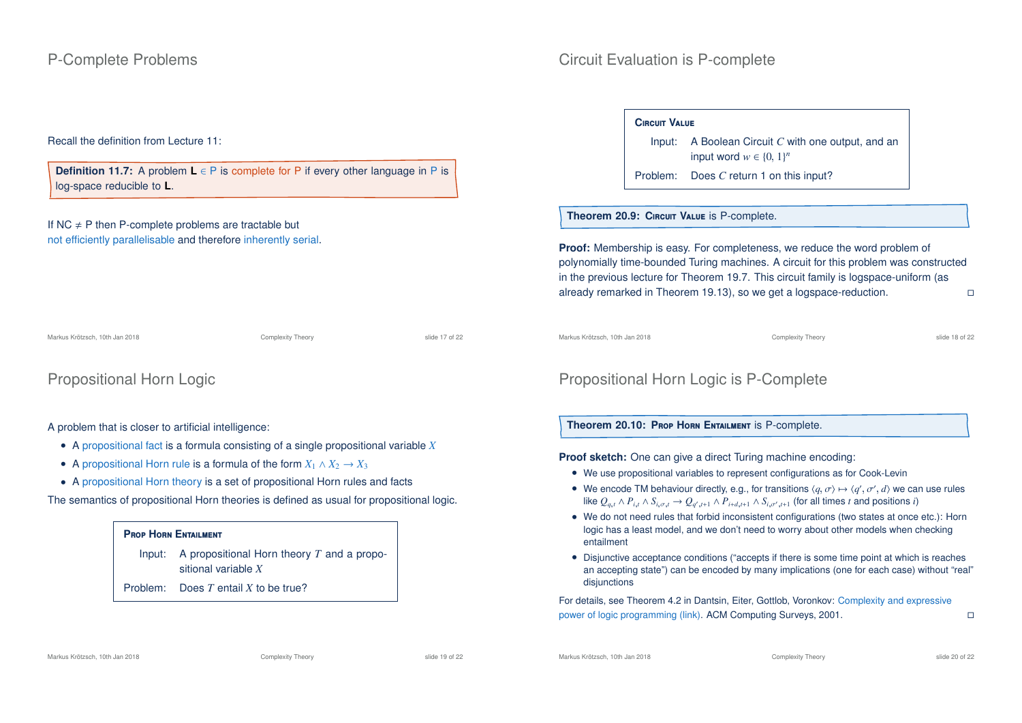#### Recall the definition from Lecture 11:

**Definition 11.7:** A problem **L** ∈ P is complete for P if every other language in P is log-space reducible to **L**.

#### If NC  $\neq$  P then P-complete problems are tractable but not efficiently parallelisable and therefore inherently serial.

Markus Krötzsch, 10th Jan 2018 Complexity Theory slide 17 of 22

Propositional Horn Logic

A problem that is closer to artificial intelligence:

- A propositional fact is a formula consisting of a single propositional variable *X*
- A propositional Horn rule is a formula of the form  $X_1 \wedge X_2 \rightarrow X_3$
- A propositional Horn theory is a set of propositional Horn rules and facts

The semantics of propositional Horn theories is defined as usual for propositional logic.

### **P**rop **H**orn **E**ntailment

Input: A propositional Horn theory *T* and a propositional variable *X*

Problem: Does *T* entail *X* to be true?

#### **C**ircuit **V**alue

Input: A Boolean Circuit *C* with one output, and an input word  $w \in \{0, 1\}^n$ 

Problem: Does *C* return 1 on this input?

#### **Theorem 20.9: C**ircuit **V**alue is P-complete.

**Proof:** Membership is easy. For completeness, we reduce the word problem of polynomially time-bounded Turing machines. A circuit for this problem was constructed in the previous lecture for Theorem 19.7. This circuit family is logspace-uniform (as already remarked in Theorem 19.13), so we get a logspace-reduction.

Markus Krötzsch, 10th Jan 2018 Complexity Theory slide 18 of 22

## Propositional Horn Logic is P-Complete

### **Theorem 20.10: P**rop **H**orn **E**ntailment is P-complete.

**Proof sketch:** One can give a direct Turing machine encoding:

- We use propositional variables to represent configurations as for Cook-Levin
- We encode TM behaviour directly, e.g., for transitions  $\langle q, \sigma \rangle \mapsto \langle q', \sigma', d \rangle$  we can use rules like  $Q_{q,t} \wedge P_{i,t} \wedge S_{i,\sigma,t} \to Q_{q',t+1} \wedge P_{i+d,t+1} \wedge S_{i,\sigma',t+1}$  (for all times t and positions t)
- We do not need rules that forbid inconsistent configurations (two states at once etc.): Horn logic has a least model, and we don't need to worry about other models when checking entailment
- Disjunctive acceptance conditions ("accepts if there is some time point at which is reaches an accepting state") can be encoded by many implications (one for each case) without "real" disiunctions

For details, see Theorem 4.2 in Dantsin, Eiter, Gottlob, Voronkov: Complexity and expressive power of logic programming (link). ACM Computing Surveys, 2001.

Markus Krötzsch, 10th Jan 2018 Complexity Theory Complexity Theory slide 20 of 22